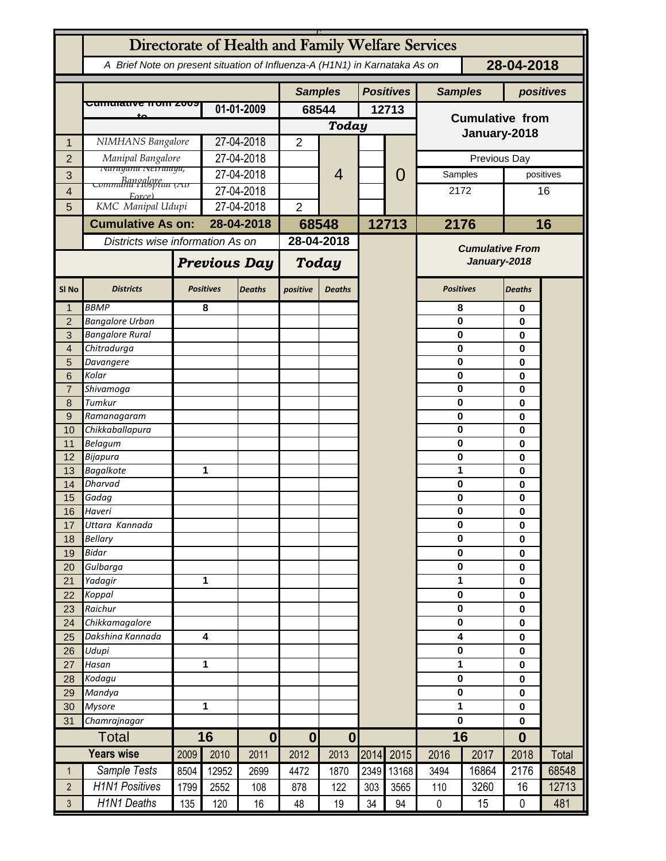|                  | Directorate of Health and Family Welfare Services                          |                     |                  |                  |                  |                |       |                  |                                        |              |                  |           |  |
|------------------|----------------------------------------------------------------------------|---------------------|------------------|------------------|------------------|----------------|-------|------------------|----------------------------------------|--------------|------------------|-----------|--|
|                  | A Brief Note on present situation of Influenza-A (H1N1) in Karnataka As on |                     |                  |                  |                  |                |       |                  | 28-04-2018                             |              |                  |           |  |
|                  |                                                                            |                     |                  |                  | <b>Samples</b>   |                |       | <b>Positives</b> |                                        |              |                  |           |  |
|                  | <del>Cumulative ποιπ 2009</del>                                            |                     |                  |                  |                  |                |       |                  | <b>Samples</b>                         |              |                  | positives |  |
|                  |                                                                            |                     | 01-01-2009       |                  | 68544            |                | 12713 |                  | <b>Cumulative from</b>                 |              |                  |           |  |
|                  |                                                                            |                     |                  |                  |                  | Today          |       |                  | January-2018                           |              |                  |           |  |
| 1                | NIMHANS Bangalore                                                          |                     | 27-04-2018       |                  | $\overline{2}$   |                |       |                  |                                        |              |                  |           |  |
| $\overline{2}$   | Manipal Bangalore<br><b>Ivarayana Ivetralaya,</b>                          |                     | 27-04-2018       |                  |                  |                |       |                  |                                        | Previous Day |                  |           |  |
| 3                | <u> Banoalore</u><br>Communii Hispiuu (Air                                 |                     | 27-04-2018       |                  |                  | $\overline{4}$ |       | 0                | Samples                                |              |                  | positives |  |
| 4                | Force)                                                                     |                     | 27-04-2018       |                  |                  |                |       |                  | 2172                                   |              |                  | 16        |  |
| 5                |                                                                            | KMC Manipal Udupi   |                  | 27-04-2018       |                  |                |       |                  |                                        |              |                  |           |  |
|                  | <b>Cumulative As on:</b>                                                   |                     |                  | 28-04-2018       | 68548            |                |       | 12713            | 2176                                   |              | 16               |           |  |
|                  | Districts wise information As on                                           |                     |                  |                  |                  | 28-04-2018     |       |                  |                                        |              |                  |           |  |
|                  |                                                                            | <b>Previous Day</b> |                  |                  | <b>Today</b>     |                |       |                  | <b>Cumulative From</b><br>January-2018 |              |                  |           |  |
| SI <sub>No</sub> | <b>Districts</b>                                                           |                     | <b>Positives</b> | <b>Deaths</b>    | positive         | <b>Deaths</b>  |       |                  | <b>Positives</b>                       |              | <b>Deaths</b>    |           |  |
| 1                | <b>BBMP</b>                                                                |                     | 8                |                  |                  |                |       |                  | 8                                      |              | 0                |           |  |
| $\overline{2}$   | <b>Bangalore Urban</b>                                                     |                     |                  |                  |                  |                |       |                  | $\mathbf 0$                            |              | 0                |           |  |
| 3                | <b>Bangalore Rural</b>                                                     |                     |                  |                  |                  |                |       |                  | 0                                      |              | 0                |           |  |
| $\overline{4}$   | Chitradurga                                                                |                     |                  |                  |                  |                |       |                  | 0                                      |              | 0                |           |  |
| 5                | Davangere                                                                  |                     |                  |                  |                  |                |       |                  | 0                                      |              | 0                |           |  |
| 6                | Kolar                                                                      |                     |                  |                  |                  |                |       |                  | 0                                      |              | 0                |           |  |
| $\overline{7}$   | Shivamoga                                                                  |                     |                  |                  |                  |                |       |                  | 0                                      |              | 0                |           |  |
| 8<br>9           | Tumkur<br>Ramanagaram                                                      |                     |                  |                  |                  |                |       |                  | 0<br>0                                 |              | 0<br>0           |           |  |
| 10               | Chikkaballapura                                                            |                     |                  |                  |                  |                |       |                  | 0                                      |              | 0                |           |  |
| 11               | <b>Belagum</b>                                                             |                     |                  |                  |                  |                |       |                  | 0                                      |              | 0                |           |  |
| 12               | Bijapura                                                                   |                     |                  |                  |                  |                |       |                  | 0                                      |              | 0                |           |  |
| 13               | <b>Bagalkote</b>                                                           |                     | 1                |                  |                  |                |       |                  | 1                                      |              | 0                |           |  |
| 14               | <b>Dharvad</b>                                                             |                     |                  |                  |                  |                |       |                  | 0                                      |              | 0                |           |  |
| 15               | Gadag                                                                      |                     |                  |                  |                  |                |       |                  | 0                                      |              | 0                |           |  |
| 16               | Haveri                                                                     |                     |                  |                  |                  |                |       |                  | 0                                      |              | 0                |           |  |
| 17               | Uttara Kannada                                                             |                     |                  |                  |                  |                |       |                  | $\bf{0}$                               |              | $\mathbf 0$      |           |  |
| 18               | <b>Bellary</b>                                                             |                     |                  |                  |                  |                |       |                  | $\mathbf 0$<br>$\pmb{0}$               |              | $\mathbf 0$      |           |  |
| 19<br>20         | <b>Bidar</b><br>Gulbarga                                                   |                     |                  |                  |                  |                |       |                  | $\mathbf 0$                            |              | $\mathbf 0$<br>0 |           |  |
| 21               | Yadagir                                                                    |                     |                  | 1                |                  |                |       |                  | 1                                      |              | 0                |           |  |
| 22               | Koppal                                                                     |                     |                  |                  |                  |                |       |                  | $\pmb{0}$                              |              | $\mathbf 0$      |           |  |
| 23               | Raichur                                                                    |                     |                  |                  |                  |                |       |                  | $\pmb{0}$                              |              | 0                |           |  |
| 24               | Chikkamagalore                                                             |                     |                  |                  |                  |                |       |                  | $\pmb{0}$                              |              | 0                |           |  |
| 25               | Dakshina Kannada                                                           | 4                   |                  |                  |                  |                |       |                  | 4                                      |              | $\mathbf 0$      |           |  |
| 26               | Udupi                                                                      |                     |                  |                  |                  |                |       |                  | $\pmb{0}$                              |              | $\mathbf 0$      |           |  |
| 27               | Hasan                                                                      | 1                   |                  |                  |                  |                |       |                  | 1<br>0                                 |              |                  |           |  |
| 28               | Kodagu                                                                     |                     |                  |                  |                  |                |       |                  | $\pmb{0}$<br>0                         |              |                  |           |  |
| 29               | Mandya                                                                     |                     |                  |                  |                  |                |       |                  | $\pmb{0}$                              |              | $\mathbf 0$      |           |  |
| 30               | <b>Mysore</b>                                                              | 1                   |                  |                  |                  |                |       |                  | 1                                      |              | $\mathbf 0$      |           |  |
| 31               | Chamrajnagar                                                               |                     |                  |                  |                  |                |       |                  | $\mathbf 0$                            | 0            |                  |           |  |
| <b>Total</b>     |                                                                            | 16                  |                  | $\boldsymbol{0}$ | $\boldsymbol{0}$ | $\bf{0}$       |       |                  | 16                                     |              | $\bf{0}$         |           |  |
|                  | <b>Years wise</b>                                                          | 2009                | 2010             | 2011             | 2012             | 2013           |       | 2014 2015        | 2016                                   | 2017         | 2018             | Total     |  |
| $\mathbf{1}$     | Sample Tests                                                               | 8504                | 12952            | 2699             | 4472             | 1870           | 2349  | 13168            | 3494                                   | 16864        | 2176             | 68548     |  |
| $\overline{2}$   | <b>H1N1 Positives</b>                                                      | 1799                | 2552             | 108              | 878              | 122            | 303   | 3565             | 110                                    | 3260         | 16               | 12713     |  |
| 3                | <b>H1N1 Deaths</b>                                                         | 135                 | 120              | 16               | 48               | 19             | 34    | 94               | $\pmb{0}$                              | 15           | 0                | 481       |  |